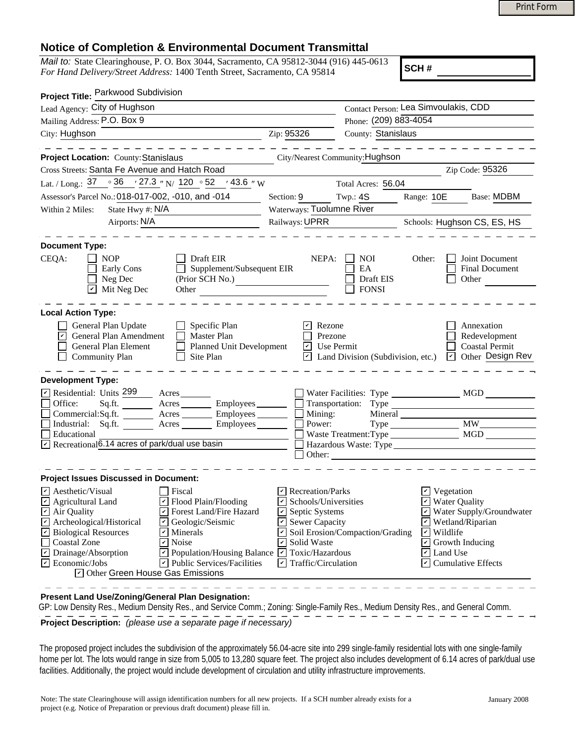## **Notice of Completion & Environmental Document Transmittal**

|                                                                                                                                                                                                                                                                                                                                                                                                                                                                                                                                                                                                                        |                                                                                                                                                                                                                                                                         |                                               |                                                                                                                       | <b>Print Form</b>                                                                                                                     |
|------------------------------------------------------------------------------------------------------------------------------------------------------------------------------------------------------------------------------------------------------------------------------------------------------------------------------------------------------------------------------------------------------------------------------------------------------------------------------------------------------------------------------------------------------------------------------------------------------------------------|-------------------------------------------------------------------------------------------------------------------------------------------------------------------------------------------------------------------------------------------------------------------------|-----------------------------------------------|-----------------------------------------------------------------------------------------------------------------------|---------------------------------------------------------------------------------------------------------------------------------------|
|                                                                                                                                                                                                                                                                                                                                                                                                                                                                                                                                                                                                                        |                                                                                                                                                                                                                                                                         |                                               |                                                                                                                       |                                                                                                                                       |
| <b>Notice of Completion &amp; Environmental Document Transmittal</b><br>Mail to: State Clearinghouse, P. O. Box 3044, Sacramento, CA 95812-3044 (916) 445-0613<br>For Hand Delivery/Street Address: 1400 Tenth Street, Sacramento, CA 95814                                                                                                                                                                                                                                                                                                                                                                            |                                                                                                                                                                                                                                                                         |                                               | SCH#                                                                                                                  |                                                                                                                                       |
| Project Title: Parkwood Subdivision                                                                                                                                                                                                                                                                                                                                                                                                                                                                                                                                                                                    |                                                                                                                                                                                                                                                                         |                                               |                                                                                                                       |                                                                                                                                       |
| Lead Agency: City of Hughson                                                                                                                                                                                                                                                                                                                                                                                                                                                                                                                                                                                           |                                                                                                                                                                                                                                                                         |                                               | Contact Person: Lea Simvoulakis, CDD                                                                                  |                                                                                                                                       |
| Mailing Address: P.O. Box 9                                                                                                                                                                                                                                                                                                                                                                                                                                                                                                                                                                                            |                                                                                                                                                                                                                                                                         | Phone: (209) 883-4054                         |                                                                                                                       |                                                                                                                                       |
| City: Hughson                                                                                                                                                                                                                                                                                                                                                                                                                                                                                                                                                                                                          | County: Stanislaus<br>Zip: 95326                                                                                                                                                                                                                                        |                                               |                                                                                                                       |                                                                                                                                       |
| Project Location: County: Stanislaus                                                                                                                                                                                                                                                                                                                                                                                                                                                                                                                                                                                   | City/Nearest Community: Hughson                                                                                                                                                                                                                                         |                                               |                                                                                                                       |                                                                                                                                       |
| Cross Streets: Santa Fe Avenue and Hatch Road                                                                                                                                                                                                                                                                                                                                                                                                                                                                                                                                                                          |                                                                                                                                                                                                                                                                         |                                               |                                                                                                                       | Zip Code: 95326                                                                                                                       |
| Lat. / Long.: 37 . 36 . 27.3 . N 20 . 52 . 43.6 . W                                                                                                                                                                                                                                                                                                                                                                                                                                                                                                                                                                    |                                                                                                                                                                                                                                                                         | Total Acres: 56.04                            |                                                                                                                       |                                                                                                                                       |
|                                                                                                                                                                                                                                                                                                                                                                                                                                                                                                                                                                                                                        |                                                                                                                                                                                                                                                                         |                                               |                                                                                                                       | <b>Base: MDBM</b>                                                                                                                     |
| Assessor's Parcel No.: 018-017-002, -010, and -014<br>State Hwy #: N/A                                                                                                                                                                                                                                                                                                                                                                                                                                                                                                                                                 | Section: 9<br>Waterways: Tuolumne River                                                                                                                                                                                                                                 | Twp.: $4S$                                    | Range: 10E                                                                                                            |                                                                                                                                       |
| Within 2 Miles:<br>Airports: N/A                                                                                                                                                                                                                                                                                                                                                                                                                                                                                                                                                                                       | Railways: UPRR                                                                                                                                                                                                                                                          |                                               |                                                                                                                       |                                                                                                                                       |
|                                                                                                                                                                                                                                                                                                                                                                                                                                                                                                                                                                                                                        |                                                                                                                                                                                                                                                                         |                                               |                                                                                                                       | Schools: Hughson CS, ES, HS                                                                                                           |
| <b>Document Type:</b>                                                                                                                                                                                                                                                                                                                                                                                                                                                                                                                                                                                                  |                                                                                                                                                                                                                                                                         |                                               |                                                                                                                       |                                                                                                                                       |
| CEQA:<br>Draft EIR<br><b>NOP</b><br>Supplement/Subsequent EIR<br>Early Cons<br>Neg Dec<br>(Prior SCH No.)<br>Mit Neg Dec<br>$ \mathcal{V} $<br>Other                                                                                                                                                                                                                                                                                                                                                                                                                                                                   | NEPA:                                                                                                                                                                                                                                                                   | <b>NOI</b><br>EA<br>Draft EIS<br><b>FONSI</b> | Other:                                                                                                                | Joint Document<br><b>Final Document</b><br>Other                                                                                      |
| <b>Local Action Type:</b><br>General Plan Update<br>Specific Plan<br>General Plan Amendment<br>Master Plan<br>Planned Unit Development<br>General Plan Element<br><b>Community Plan</b><br>Site Plan                                                                                                                                                                                                                                                                                                                                                                                                                   | Rezone<br>Prezone<br>$\cup$ Use Permit<br>$ \mathcal{V} $                                                                                                                                                                                                               | Land Division (Subdivision, etc.)             | $ \mathcal{V} $                                                                                                       | Annexation<br>Redevelopment<br>Coastal Permit<br>Other Design Rev                                                                     |
| <b>Development Type:</b>                                                                                                                                                                                                                                                                                                                                                                                                                                                                                                                                                                                               |                                                                                                                                                                                                                                                                         |                                               |                                                                                                                       |                                                                                                                                       |
| $\triangleright$ Residential: Units 299<br>Acres<br>Office:<br>Employees_<br>Sq.ft.<br>Acres<br>Commercial:Sq.ft.<br>Employees<br>Acres<br>$\Box$ Industrial: Sq.ft.<br>$-$ Employees $-$<br>Acres<br>Educational<br>$\triangledown$ Recreational $\overline{6.14}$ acres of park/dual use basin                                                                                                                                                                                                                                                                                                                       | Transportation:<br>Mining:<br>Power:                                                                                                                                                                                                                                    | Mineral                                       |                                                                                                                       |                                                                                                                                       |
| <b>Project Issues Discussed in Document:</b>                                                                                                                                                                                                                                                                                                                                                                                                                                                                                                                                                                           |                                                                                                                                                                                                                                                                         |                                               |                                                                                                                       |                                                                                                                                       |
| $\triangleright$ Aesthetic/Visual<br>Fiscal<br>☑<br>Agricultural Land<br>Flood Plain/Flooding<br>☑<br>Air Quality<br>Forest Land/Fire Hazard<br>V<br>$\mathbf{v}$<br>Archeological/Historical<br>Geologic/Seismic<br>∣↙<br>$\sqrt{2}$<br><b>Biological Resources</b><br>$\triangledown$ Minerals<br>$\Box$<br>$\triangleright$ Noise<br>Coastal Zone<br>$\overline{\mathbf{r}}$<br>Drainage/Absorption<br>$\triangleright$ Population/Housing Balance $\triangleright$ Toxic/Hazardous<br>$\triangleright$ Economic/Jobs<br>V<br><b>Public Services/Facilities</b><br>$\triangleright$ Other Green House Gas Emissions | $\triangleright$ Recreation/Parks<br>Schools/Universities<br>$\triangleright$ Septic Systems<br>$\triangleright$ Sewer Capacity<br>$\triangleright$ Soil Erosion/Compaction/Grading<br>$\boxed{\mathbf{C}}$ Solid Waste<br>$\vert \mathbf{v} \vert$ Traffic/Circulation |                                               | $\vert \mathbf{v} \vert$ Vegetation<br>$\triangleright$ Wildlife<br>$\checkmark$<br><b>□</b> Land Use<br>$\checkmark$ | <b>Water Quality</b><br>Water Supply/Groundwater<br>$\triangleright$ Wetland/Riparian<br>Growth Inducing<br><b>Cumulative Effects</b> |

**Present Land Use/Zoning/General Plan Designation:**

 GP: Low Density Res., Medium Density Res., and Service Comm.; Zoning: Single-Family Res., Medium Density Res., and General Comm. **Project Description:** *(please use a separate page if necessary)* 

The proposed project includes the subdivision of the approximately 56.04-acre site into 299 single-family residential lots with one single-family home per lot. The lots would range in size from 5,005 to 13,280 square feet. The project also includes development of 6.14 acres of park/dual use facilities. Additionally, the project would include development of circulation and utility infrastructure improvements.